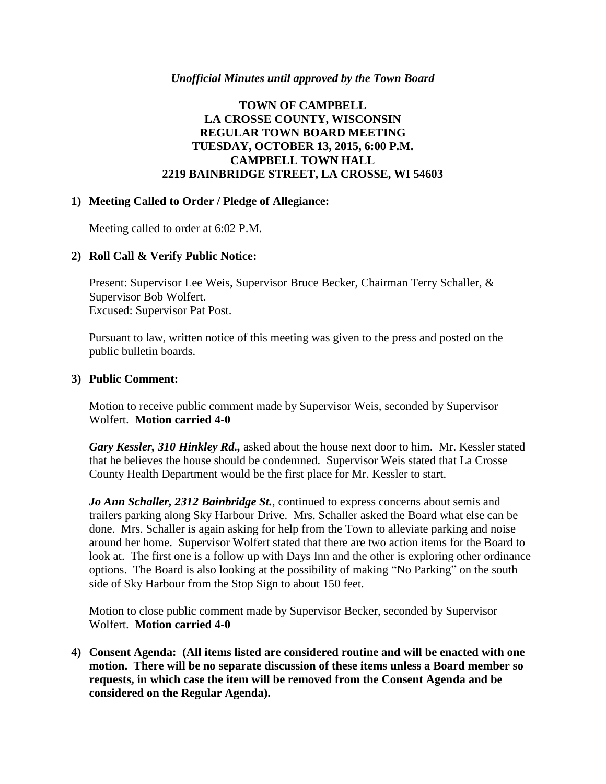### *Unofficial Minutes until approved by the Town Board*

## **TOWN OF CAMPBELL LA CROSSE COUNTY, WISCONSIN REGULAR TOWN BOARD MEETING TUESDAY, OCTOBER 13, 2015, 6:00 P.M. CAMPBELL TOWN HALL 2219 BAINBRIDGE STREET, LA CROSSE, WI 54603**

#### **1) Meeting Called to Order / Pledge of Allegiance:**

Meeting called to order at 6:02 P.M.

## **2) Roll Call & Verify Public Notice:**

Present: Supervisor Lee Weis, Supervisor Bruce Becker, Chairman Terry Schaller, & Supervisor Bob Wolfert. Excused: Supervisor Pat Post.

Pursuant to law, written notice of this meeting was given to the press and posted on the public bulletin boards.

#### **3) Public Comment:**

Motion to receive public comment made by Supervisor Weis, seconded by Supervisor Wolfert. **Motion carried 4-0**

*Gary Kessler, 310 Hinkley Rd.,* asked about the house next door to him. Mr. Kessler stated that he believes the house should be condemned. Supervisor Weis stated that La Crosse County Health Department would be the first place for Mr. Kessler to start.

*Jo Ann Schaller, 2312 Bainbridge St.*, continued to express concerns about semis and trailers parking along Sky Harbour Drive. Mrs. Schaller asked the Board what else can be done. Mrs. Schaller is again asking for help from the Town to alleviate parking and noise around her home. Supervisor Wolfert stated that there are two action items for the Board to look at. The first one is a follow up with Days Inn and the other is exploring other ordinance options. The Board is also looking at the possibility of making "No Parking" on the south side of Sky Harbour from the Stop Sign to about 150 feet.

Motion to close public comment made by Supervisor Becker, seconded by Supervisor Wolfert. **Motion carried 4-0**

**4) Consent Agenda: (All items listed are considered routine and will be enacted with one motion. There will be no separate discussion of these items unless a Board member so requests, in which case the item will be removed from the Consent Agenda and be considered on the Regular Agenda).**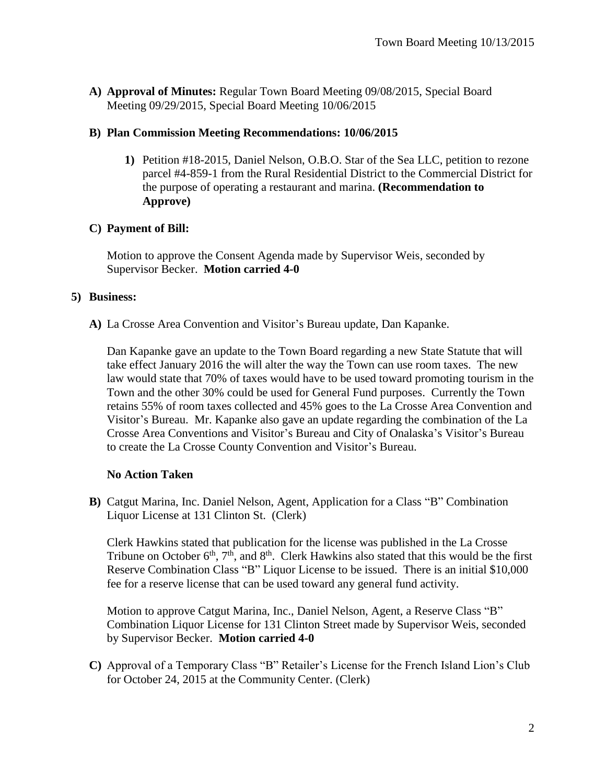**A) Approval of Minutes:** Regular Town Board Meeting 09/08/2015, Special Board Meeting 09/29/2015, Special Board Meeting 10/06/2015

### **B) Plan Commission Meeting Recommendations: 10/06/2015**

**1)** Petition #18-2015, Daniel Nelson, O.B.O. Star of the Sea LLC, petition to rezone parcel #4-859-1 from the Rural Residential District to the Commercial District for the purpose of operating a restaurant and marina. **(Recommendation to Approve)**

## **C) Payment of Bill:**

Motion to approve the Consent Agenda made by Supervisor Weis, seconded by Supervisor Becker. **Motion carried 4-0**

### **5) Business:**

**A)** La Crosse Area Convention and Visitor's Bureau update, Dan Kapanke.

Dan Kapanke gave an update to the Town Board regarding a new State Statute that will take effect January 2016 the will alter the way the Town can use room taxes. The new law would state that 70% of taxes would have to be used toward promoting tourism in the Town and the other 30% could be used for General Fund purposes. Currently the Town retains 55% of room taxes collected and 45% goes to the La Crosse Area Convention and Visitor's Bureau. Mr. Kapanke also gave an update regarding the combination of the La Crosse Area Conventions and Visitor's Bureau and City of Onalaska's Visitor's Bureau to create the La Crosse County Convention and Visitor's Bureau.

## **No Action Taken**

**B)** Catgut Marina, Inc. Daniel Nelson, Agent, Application for a Class "B" Combination Liquor License at 131 Clinton St. (Clerk)

Clerk Hawkins stated that publication for the license was published in the La Crosse Tribune on October  $6<sup>th</sup>$ ,  $7<sup>th</sup>$ , and  $8<sup>th</sup>$ . Clerk Hawkins also stated that this would be the first Reserve Combination Class "B" Liquor License to be issued. There is an initial \$10,000 fee for a reserve license that can be used toward any general fund activity.

Motion to approve Catgut Marina, Inc., Daniel Nelson, Agent, a Reserve Class "B" Combination Liquor License for 131 Clinton Street made by Supervisor Weis, seconded by Supervisor Becker. **Motion carried 4-0**

**C)** Approval of a Temporary Class "B" Retailer's License for the French Island Lion's Club for October 24, 2015 at the Community Center. (Clerk)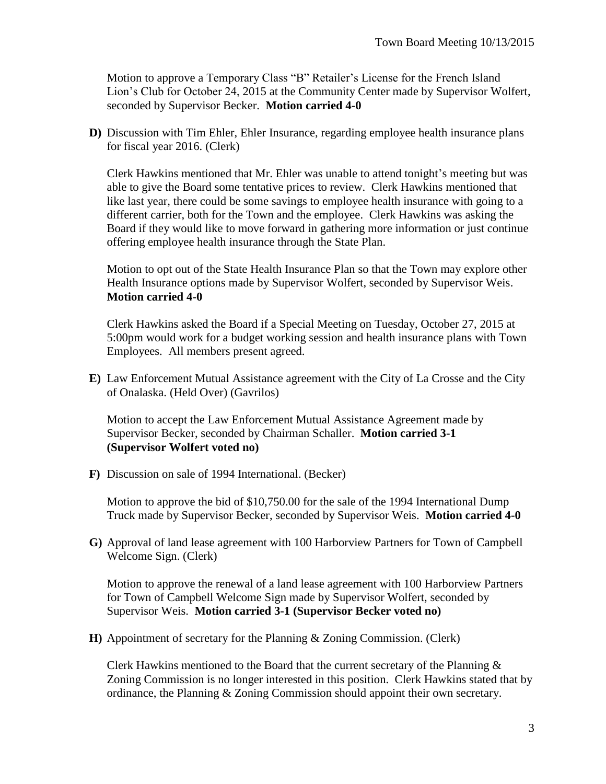Motion to approve a Temporary Class "B" Retailer's License for the French Island Lion's Club for October 24, 2015 at the Community Center made by Supervisor Wolfert, seconded by Supervisor Becker. **Motion carried 4-0**

**D)** Discussion with Tim Ehler, Ehler Insurance, regarding employee health insurance plans for fiscal year 2016. (Clerk)

Clerk Hawkins mentioned that Mr. Ehler was unable to attend tonight's meeting but was able to give the Board some tentative prices to review. Clerk Hawkins mentioned that like last year, there could be some savings to employee health insurance with going to a different carrier, both for the Town and the employee. Clerk Hawkins was asking the Board if they would like to move forward in gathering more information or just continue offering employee health insurance through the State Plan.

Motion to opt out of the State Health Insurance Plan so that the Town may explore other Health Insurance options made by Supervisor Wolfert, seconded by Supervisor Weis. **Motion carried 4-0**

Clerk Hawkins asked the Board if a Special Meeting on Tuesday, October 27, 2015 at 5:00pm would work for a budget working session and health insurance plans with Town Employees. All members present agreed.

**E)** Law Enforcement Mutual Assistance agreement with the City of La Crosse and the City of Onalaska. (Held Over) (Gavrilos)

Motion to accept the Law Enforcement Mutual Assistance Agreement made by Supervisor Becker, seconded by Chairman Schaller. **Motion carried 3-1 (Supervisor Wolfert voted no)**

**F)** Discussion on sale of 1994 International. (Becker)

Motion to approve the bid of \$10,750.00 for the sale of the 1994 International Dump Truck made by Supervisor Becker, seconded by Supervisor Weis. **Motion carried 4-0**

**G)** Approval of land lease agreement with 100 Harborview Partners for Town of Campbell Welcome Sign. (Clerk)

Motion to approve the renewal of a land lease agreement with 100 Harborview Partners for Town of Campbell Welcome Sign made by Supervisor Wolfert, seconded by Supervisor Weis. **Motion carried 3-1 (Supervisor Becker voted no)**

**H)** Appointment of secretary for the Planning & Zoning Commission. (Clerk)

Clerk Hawkins mentioned to the Board that the current secretary of the Planning  $\&$ Zoning Commission is no longer interested in this position. Clerk Hawkins stated that by ordinance, the Planning & Zoning Commission should appoint their own secretary.